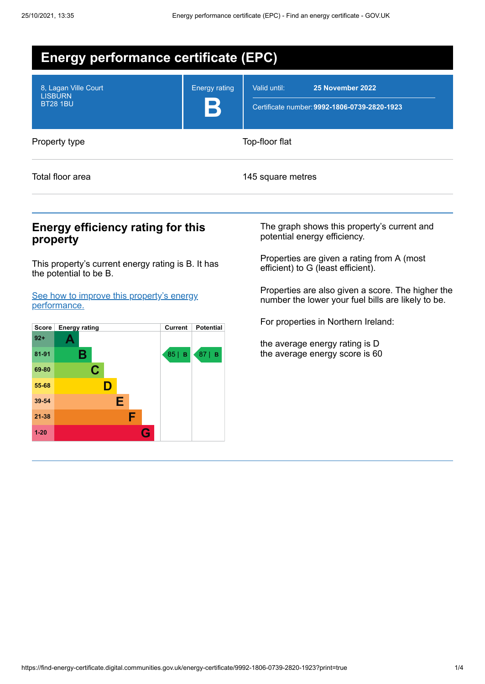| <b>Energy performance certificate (EPC)</b>               |                      |                                                                                  |  |  |  |
|-----------------------------------------------------------|----------------------|----------------------------------------------------------------------------------|--|--|--|
| 8, Lagan Ville Court<br><b>LISBURN</b><br><b>BT28 1BU</b> | <b>Energy rating</b> | Valid until:<br>25 November 2022<br>Certificate number: 9992-1806-0739-2820-1923 |  |  |  |
| Property type                                             | Top-floor flat       |                                                                                  |  |  |  |
| Total floor area                                          |                      | 145 square metres                                                                |  |  |  |

### **Energy efficiency rating for this property**

This property's current energy rating is B. It has the potential to be B.

See how to improve this property's energy [performance.](#page-2-0)



The graph shows this property's current and potential energy efficiency.

Properties are given a rating from A (most efficient) to G (least efficient).

Properties are also given a score. The higher the number the lower your fuel bills are likely to be.

For properties in Northern Ireland:

the average energy rating is D the average energy score is 60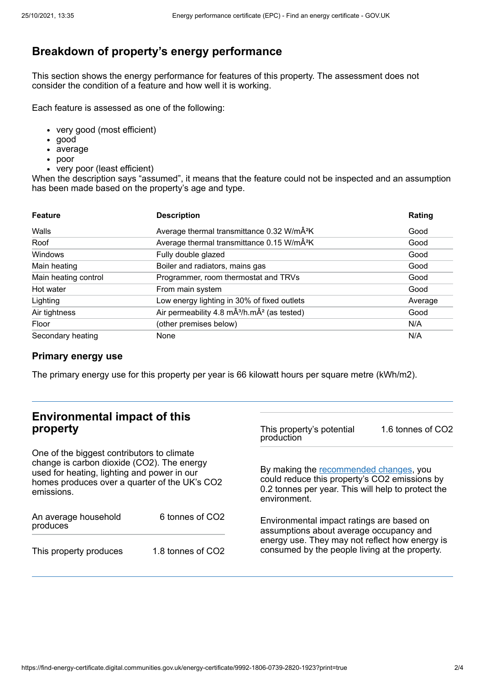# **Breakdown of property's energy performance**

This section shows the energy performance for features of this property. The assessment does not consider the condition of a feature and how well it is working.

Each feature is assessed as one of the following:

- very good (most efficient)
- good
- average
- poor
- very poor (least efficient)

When the description says "assumed", it means that the feature could not be inspected and an assumption has been made based on the property's age and type.

| <b>Feature</b>       | <b>Description</b>                                                  | Rating  |
|----------------------|---------------------------------------------------------------------|---------|
| Walls                | Average thermal transmittance 0.32 W/mÂ <sup>2</sup> K              | Good    |
| Roof                 | Average thermal transmittance 0.15 W/mÂ <sup>2</sup> K              | Good    |
| Windows              | Fully double glazed                                                 | Good    |
| Main heating         | Boiler and radiators, mains gas                                     | Good    |
| Main heating control | Programmer, room thermostat and TRVs                                | Good    |
| Hot water            | From main system                                                    | Good    |
| Lighting             | Low energy lighting in 30% of fixed outlets                         | Average |
| Air tightness        | Air permeability 4.8 mÂ <sup>3</sup> /h.mÂ <sup>2</sup> (as tested) | Good    |
| Floor                | (other premises below)                                              | N/A     |
| Secondary heating    | None                                                                | N/A     |

#### **Primary energy use**

The primary energy use for this property per year is 66 kilowatt hours per square metre (kWh/m2).

#### **Environmental impact of this property** One of the biggest contributors to climate change is carbon dioxide (CO2). The energy used for heating, lighting and power in our homes produces over a quarter of the UK's CO2 emissions. An average household produces 6 tonnes of CO2 This property produces 1.8 tonnes of CO2 This property's potential production 1.6 tonnes of CO2 By making the [recommended](#page-2-0) changes, you could reduce this property's CO2 emissions by 0.2 tonnes per year. This will help to protect the environment. Environmental impact ratings are based on assumptions about average occupancy and energy use. They may not reflect how energy is consumed by the people living at the property.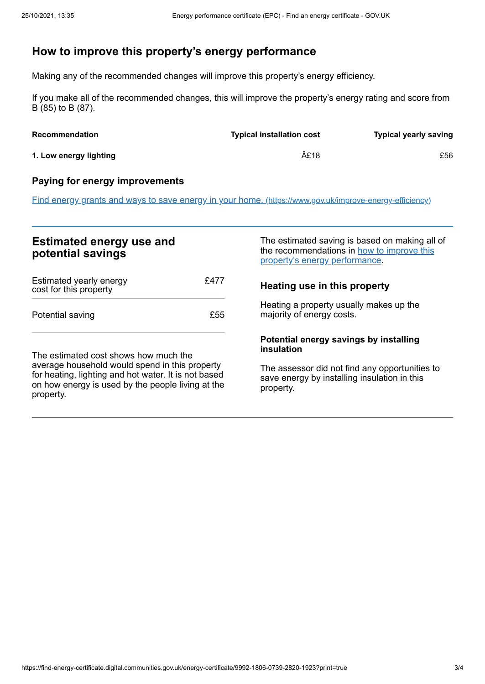# <span id="page-2-0"></span>**How to improve this property's energy performance**

Making any of the recommended changes will improve this property's energy efficiency.

If you make all of the recommended changes, this will improve the property's energy rating and score from B (85) to B (87).

| <b>Recommendation</b>  | <b>Typical installation cost</b> | <b>Typical yearly saving</b> |
|------------------------|----------------------------------|------------------------------|
| 1. Low energy lighting | £18                              | £56                          |

#### **Paying for energy improvements**

Find energy grants and ways to save energy in your home. [\(https://www.gov.uk/improve-energy-efficiency\)](https://www.gov.uk/improve-energy-efficiency)

### **Estimated energy use and potential savings**

| Estimated yearly energy<br>cost for this property | £477 |
|---------------------------------------------------|------|
| Potential saving                                  | £55  |

The estimated cost shows how much the average household would spend in this property for heating, lighting and hot water. It is not based on how energy is used by the people living at the property.

The estimated saving is based on making all of the [recommendations](#page-2-0) in how to improve this property's energy performance.

#### **Heating use in this property**

Heating a property usually makes up the majority of energy costs.

#### **Potential energy savings by installing insulation**

The assessor did not find any opportunities to save energy by installing insulation in this property.